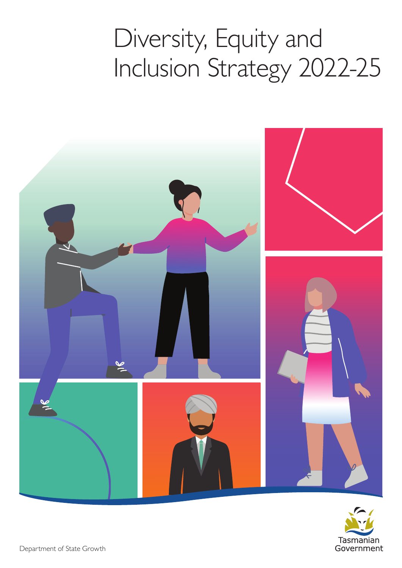## Diversity, Equity and Inclusion Strategy 2022-25



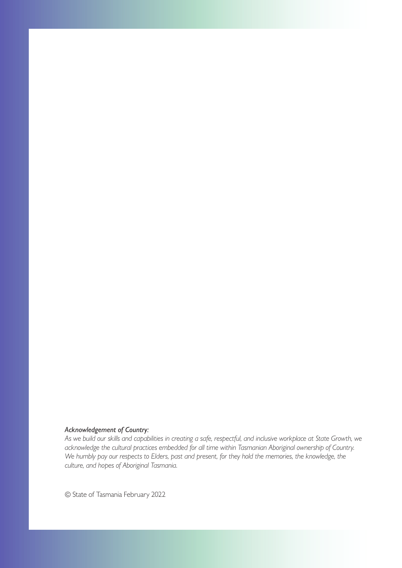#### *Acknowledgement of Country:*

*As we build our skills and capabilities in creating a safe, respectful, and inclusive workplace at State Growth, we acknowledge the cultural practices embedded for all time within Tasmanian Aboriginal ownership of Country. We humbly pay our respects to Elders, past and present, for they hold the memories, the knowledge, the culture, and hopes of Aboriginal Tasmania.* 

© State of Tasmania February 2022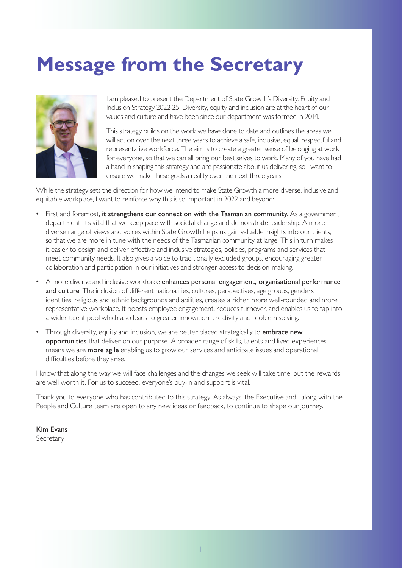### **Message from the Secretary**



values and culture and have been since our department was formed in 2014. I am pleased to present the Department of State Growth's Diversity, Equity and Inclusion Strategy 2022-25. Diversity, equity and inclusion are at the heart of our

This strategy builds on the work we have done to date and outlines the areas we will act on over the next three years to achieve a safe, inclusive, equal, respectful and representative workforce. The aim is to create a greater sense of belonging at work for everyone, so that we can all bring our best selves to work. Many of you have had a hand in shaping this strategy and are passionate about us delivering, so I want to ensure we make these goals a reality over the next three years.

While the strategy sets the direction for how we intend to make State Growth a more diverse, inclusive and equitable workplace, I want to reinforce why this is so important in 2022 and beyond:

- First and foremost, it strengthens our connection with the Tasmanian community. As a government department, it's vital that we keep pace with societal change and demonstrate leadership. A more diverse range of views and voices within State Growth helps us gain valuable insights into our clients, so that we are more in tune with the needs of the Tasmanian community at large. This in turn makes it easier to design and deliver efective and inclusive strategies, policies, programs and services that meet community needs. It also gives a voice to traditionally excluded groups, encouraging greater collaboration and participation in our initiatives and stronger access to decision-making.
- A more diverse and inclusive workforce enhances personal engagement, organisational performance and culture. The inclusion of different nationalities, cultures, perspectives, age groups, genders identities, religious and ethnic backgrounds and abilities, creates a richer, more well-rounded and more representative workplace. It boosts employee engagement, reduces turnover, and enables us to tap into a wider talent pool which also leads to greater innovation, creativity and problem solving.
- Through diversity, equity and inclusion, we are better placed strategically to embrace new opportunities that deliver on our purpose. A broader range of skills, talents and lived experiences means we are **more agile** enabling us to grow our services and anticipate issues and operational difficulties before they arise.

I know that along the way we will face challenges and the changes we seek will take time, but the rewards are well worth it. For us to succeed, everyone's buy-in and support is vital.

Thank you to everyone who has contributed to this strategy. As always, the Executive and I along with the People and Culture team are open to any new ideas or feedback, to continue to shape our journey.

Kim Evans

Secretary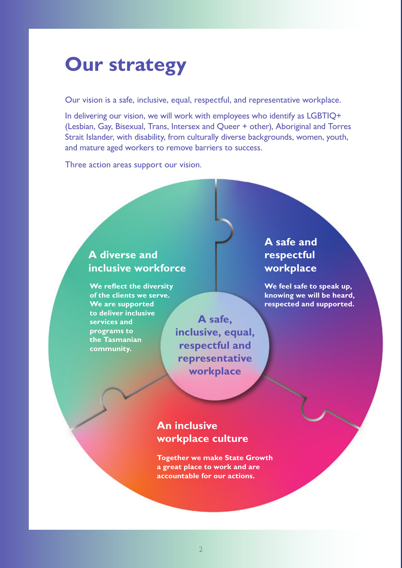### **Our strategy**

Our vision is a safe, inclusive, equal, respectful, and representative workplace.

In delivering our vision, we will work with employees who identify as LGBTIQ+ (Lesbian, Gay, Bisexual, Trans, Intersex and Queer + other), Aboriginal and Torres Strait Islander, with disability, from culturally diverse backgrounds, women, youth, and mature aged workers to remove barriers to success.

Three action areas support our vision.

#### A diverse and **respectful inclusive workforce workplace**

**to deliver inclusive**  services and **A** safe, **programs to the Tasmanian community.** 

**inclusive, equal, respectful and representative workplace** 

# **A safe and**

**We reflect the diversity and the set of the UVE CONVERTING We feel safe to speak up,** of the clients we serve. **Knowing we will be heard, knowing we will be heard, We are supported respected and supported.** 

#### **An inclusive workplace culture**

**Together we make State Growth a great place to work and are accountable for our actions.**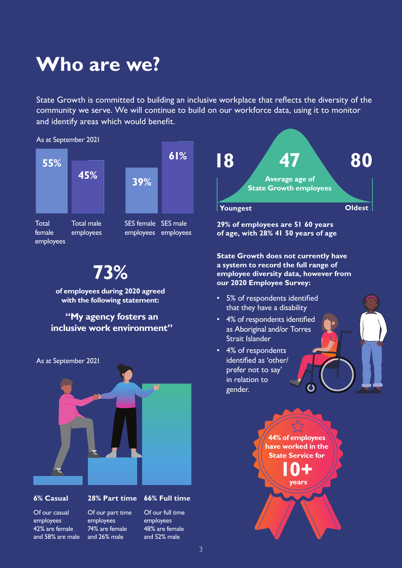### **Who are we?**

State Growth is committed to building an inclusive workplace that refects the diversity of the community we serve. We will continue to build on our workforce data, using it to monitor and identify areas which would beneft.

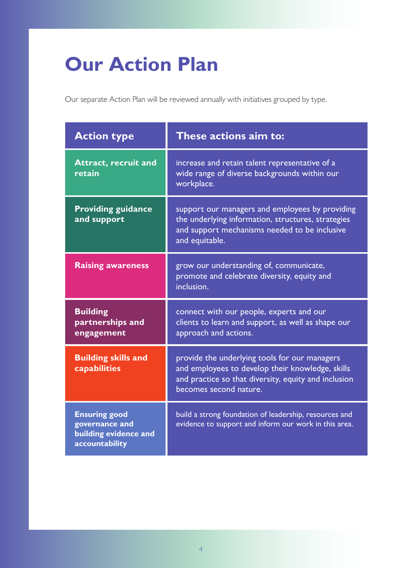### **Our Action Plan**

Our separate Action Plan will be reviewed annually with initiatives grouped by type.

| <b>Action type</b>                                                                | These actions aim to:                                                                                                                                                               |
|-----------------------------------------------------------------------------------|-------------------------------------------------------------------------------------------------------------------------------------------------------------------------------------|
| <b>Attract, recruit and</b><br>retain                                             | increase and retain talent representative of a<br>wide range of diverse backgrounds within our<br>workplace.                                                                        |
| <b>Providing guidance</b><br>and support                                          | support our managers and employees by providing<br>the underlying information, structures, strategies<br>and support mechanisms needed to be inclusive<br>and equitable.            |
| <b>Raising awareness</b>                                                          | grow our understanding of, communicate,<br>promote and celebrate diversity, equity and<br>inclusion.                                                                                |
| <b>Building</b><br>partnerships and<br>engagement                                 | connect with our people, experts and our<br>clients to learn and support, as well as shape our<br>approach and actions.                                                             |
| <b>Building skills and</b><br>capabilities                                        | provide the underlying tools for our managers<br>and employees to develop their knowledge, skills<br>and practice so that diversity, equity and inclusion<br>becomes second nature. |
| <b>Ensuring good</b><br>governance and<br>building evidence and<br>accountability | build a strong foundation of leadership, resources and<br>evidence to support and inform our work in this area.                                                                     |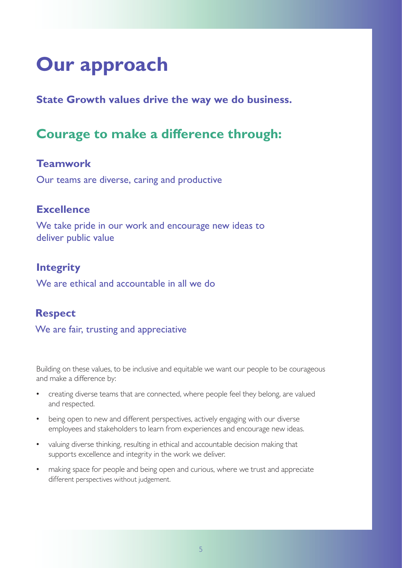### **Our approach**

**State Growth values drive the way we do business.** 

#### **Courage to make a diference through:**

#### **Teamwork**

Our teams are diverse, caring and productive

#### **Excellence**

We take pride in our work and encourage new ideas to deliver public value

#### **Integrity**

We are ethical and accountable in all we do

#### **Respect**

We are fair, trusting and appreciative

Building on these values, to be inclusive and equitable we want our people to be courageous and make a diference by:

- creating diverse teams that are connected, where people feel they belong, are valued and respected.
- being open to new and different perspectives, actively engaging with our diverse employees and stakeholders to learn from experiences and encourage new ideas.
- valuing diverse thinking, resulting in ethical and accountable decision making that supports excellence and integrity in the work we deliver.
- making space for people and being open and curious, where we trust and appreciate different perspectives without judgement.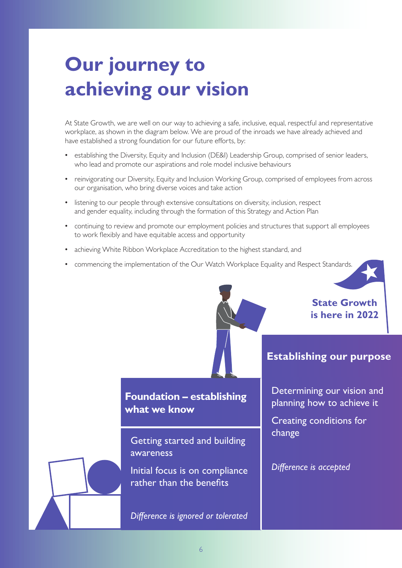### **Our journey to achieving our vision**

At State Growth, we are well on our way to achieving a safe, inclusive, equal, respectful and representative workplace, as shown in the diagram below. We are proud of the inroads we have already achieved and have established a strong foundation for our future efforts, by:

- establishing the Diversity, Equity and Inclusion (DE&I) Leadership Group, comprised of senior leaders, who lead and promote our aspirations and role model inclusive behaviours
- reinvigorating our Diversity, Equity and Inclusion Working Group, comprised of employees from across our organisation, who bring diverse voices and take action
- listening to our people through extensive consultations on diversity, inclusion, respect and gender equality, including through the formation of this Strategy and Action Plan
- continuing to review and promote our employment policies and structures that support all employees to work fexibly and have equitable access and opportunity
- achieving White Ribbon Workplace Accreditation to the highest standard, and
- commencing the implementation of the Our Watch Workplace Equality and Respect Standards.

**State Growth is here in 2022** 

#### **Foundation – establishing what we know**

Getting started and building awareness

Initial focus is on compliance rather than the benefits

*Diference is ignored or tolerated* 

#### **Establishing our purpose**

Determining our vision and planning how to achieve it

Creating conditions for change

#### *Diference is accepted*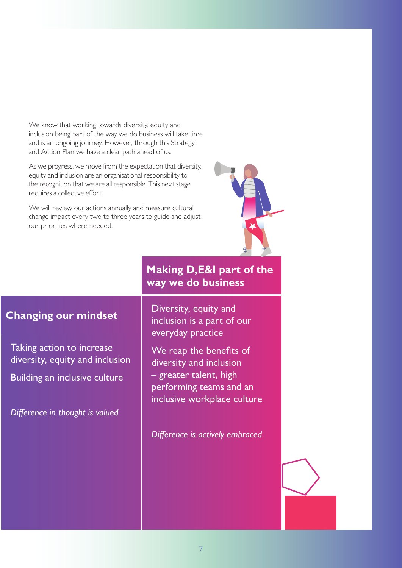We know that working towards diversity, equity and inclusion being part of the way we do business will take time and is an ongoing journey. However, through this Strategy and Action Plan we have a clear path ahead of us.

As we progress, we move from the expectation that diversity, equity and inclusion are an organisational responsibility to the recognition that we are all responsible. This next stage requires a collective effort.

We will review our actions annually and measure cultural change impact every two to three years to guide and adjust our priorities where needed.



#### **Making D,E&I part of the way we do business**

 everyday practice Diversity, equity and inclusion is a part of our

We reap the benefits of diversity and inclusion – greater talent, high performing teams and an inclusive workplace culture

*Diference is actively embraced* 

#### **Changing our mindset**

Taking action to increase diversity, equity and inclusion

Building an inclusive culture

*Diference in thought is valued*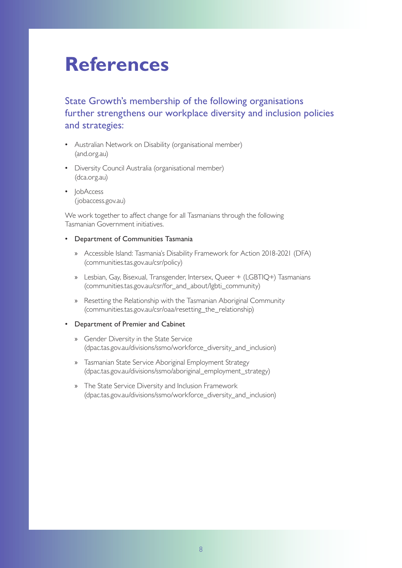### **References**

#### State Growth's membership of the following organisations further strengthens our workplace diversity and inclusion policies and strategies:

- Australian Network on Disability (organisational member) (and.org.au)
- Diversity Council Australia (organisational member) (dca.org.au)
- JobAccess (jobaccess.gov.au)

We work together to affect change for all Tasmanians through the following Tasmanian Government initiatives.

#### • Department of Communities Tasmania

- » Accessible Island: Tasmania's Disability Framework for Action 2018-2021 (DFA) (communities.tas.gov.au/csr/policy)
- » Lesbian, Gay, Bisexual, Transgender, Intersex, Queer + (LGBTIQ+) Tasmanians (communities.tas.gov.au/csr/for\_and\_about/lgbti\_community)
- » Resetting the Relationship with the Tasmanian Aboriginal Community (communities.tas.gov.au/csr/oaa/resetting\_the\_relationship)

#### • Department of Premier and Cabinet

- » Gender Diversity in the State Service (dpac.tas.gov.au/divisions/ssmo/workforce\_diversity\_and\_inclusion)
- » Tasmanian State Service Aboriginal Employment Strategy (dpac.tas.gov.au/divisions/ssmo/aboriginal\_employment\_strategy)
- » The State Service Diversity and Inclusion Framework (dpac.tas.gov.au/divisions/ssmo/workforce\_diversity\_and\_inclusion)